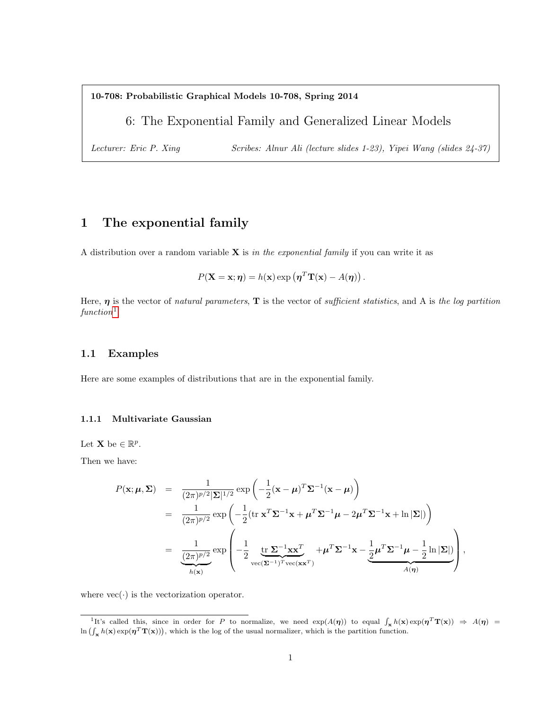10-708: Probabilistic Graphical Models 10-708, Spring 2014

6: The Exponential Family and Generalized Linear Models

Lecturer: Eric P. Xing Scribes: Alnur Ali (lecture slides 1-23), Yipei Wang (slides 24-37)

# 1 The exponential family

A distribution over a random variable  $X$  is in the exponential family if you can write it as

$$
P(\mathbf{X} = \mathbf{x}; \boldsymbol{\eta}) = h(\mathbf{x}) \exp \left( \boldsymbol{\eta}^T \mathbf{T}(\mathbf{x}) - A(\boldsymbol{\eta}) \right).
$$

Here,  $\eta$  is the vector of natural parameters,  $T$  is the vector of sufficient statistics, and A is the log partition  $function<sup>1</sup>$  $function<sup>1</sup>$  $function<sup>1</sup>$ 

### 1.1 Examples

Here are some examples of distributions that are in the exponential family.

### 1.1.1 Multivariate Gaussian

Let **X** be  $\in \mathbb{R}^p$ .

Then we have:

$$
P(\mathbf{x}; \boldsymbol{\mu}, \boldsymbol{\Sigma}) = \frac{1}{(2\pi)^{p/2} |\boldsymbol{\Sigma}|^{1/2}} \exp\left(-\frac{1}{2} (\mathbf{x} - \boldsymbol{\mu})^T \boldsymbol{\Sigma}^{-1} (\mathbf{x} - \boldsymbol{\mu})\right)
$$
  
\n
$$
= \frac{1}{(2\pi)^{p/2}} \exp\left(-\frac{1}{2} (\text{tr } \mathbf{x}^T \boldsymbol{\Sigma}^{-1} \mathbf{x} + \boldsymbol{\mu}^T \boldsymbol{\Sigma}^{-1} \boldsymbol{\mu} - 2\boldsymbol{\mu}^T \boldsymbol{\Sigma}^{-1} \mathbf{x} + \ln |\boldsymbol{\Sigma}|)\right)
$$
  
\n
$$
= \frac{1}{(2\pi)^{p/2}} \exp\left(-\frac{1}{2} \underbrace{\text{tr } \boldsymbol{\Sigma}^{-1} \mathbf{x} \mathbf{x}^T}_{\text{vec}(\boldsymbol{\Sigma}^{-1})^T \text{vec}(\mathbf{x} \mathbf{x}^T)} + \boldsymbol{\mu}^T \boldsymbol{\Sigma}^{-1} \mathbf{x} - \frac{1}{2} \boldsymbol{\mu}^T \boldsymbol{\Sigma}^{-1} \boldsymbol{\mu} - \frac{1}{2} \ln |\boldsymbol{\Sigma}|)}_{A(\boldsymbol{\eta})}\right),
$$

where  $\text{vec}(\cdot)$  is the vectorization operator.

<span id="page-0-0"></span><sup>&</sup>lt;sup>1</sup>It's called this, since in order for P to normalize, we need  $\exp(A(\eta))$  to equal  $\int_{\mathbf{x}} h(\mathbf{x}) \exp(\eta^T \mathbf{T}(\mathbf{x})) \Rightarrow A(\eta) =$  $\ln \left( \int_{\mathbf{x}} h(\mathbf{x}) \exp(\boldsymbol{\eta}^T \mathbf{T}(\mathbf{x})) \right)$ , which is the log of the usual normalizer, which is the partition function.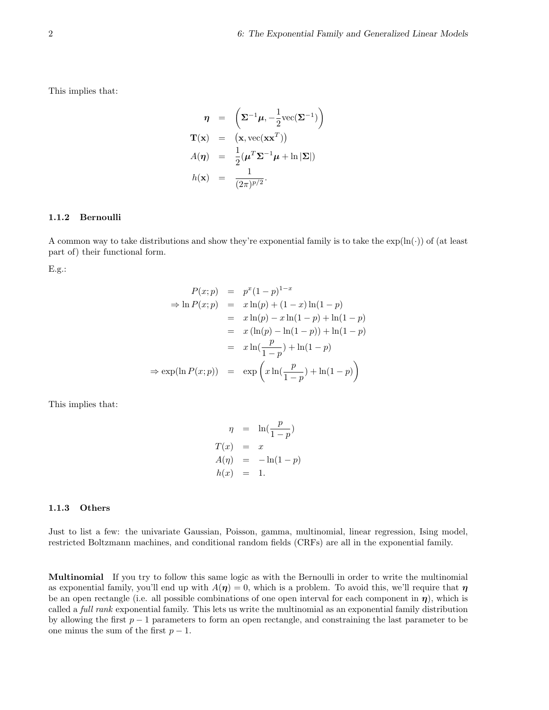This implies that:

$$
\eta = \left(\Sigma^{-1}\mu, -\frac{1}{2}\text{vec}(\Sigma^{-1})\right)
$$

$$
\mathbf{T}(\mathbf{x}) = (\mathbf{x}, \text{vec}(\mathbf{x}\mathbf{x}^T))
$$

$$
A(\eta) = \frac{1}{2}(\mu^T\Sigma^{-1}\mu + \ln|\Sigma|)
$$

$$
h(\mathbf{x}) = \frac{1}{(2\pi)^{p/2}}.
$$

#### 1.1.2 Bernoulli

A common way to take distributions and show they're exponential family is to take the  $\exp(\ln(\cdot))$  of (at least part of) their functional form.

E.g.:

$$
P(x; p) = p^{x}(1-p)^{1-x}
$$
  
\n
$$
\Rightarrow \ln P(x; p) = x \ln(p) + (1-x) \ln(1-p)
$$
  
\n
$$
= x \ln(p) - x \ln(1-p) + \ln(1-p)
$$
  
\n
$$
= x (\ln(p) - \ln(1-p)) + \ln(1-p)
$$
  
\n
$$
= x \ln(\frac{p}{1-p}) + \ln(1-p)
$$
  
\n
$$
\Rightarrow \exp(\ln P(x; p)) = \exp\left(x \ln(\frac{p}{1-p}) + \ln(1-p)\right)
$$

This implies that:

$$
\eta = \ln(\frac{p}{1-p})
$$
  
\n
$$
T(x) = x
$$
  
\n
$$
A(\eta) = -\ln(1-p)
$$
  
\n
$$
h(x) = 1.
$$

#### 1.1.3 Others

Just to list a few: the univariate Gaussian, Poisson, gamma, multinomial, linear regression, Ising model, restricted Boltzmann machines, and conditional random fields (CRFs) are all in the exponential family.

Multinomial If you try to follow this same logic as with the Bernoulli in order to write the multinomial as exponential family, you'll end up with  $A(\eta) = 0$ , which is a problem. To avoid this, we'll require that  $\eta$ be an open rectangle (i.e. all possible combinations of one open interval for each component in  $\eta$ ), which is called a full rank exponential family. This lets us write the multinomial as an exponential family distribution by allowing the first  $p-1$  parameters to form an open rectangle, and constraining the last parameter to be one minus the sum of the first  $p-1$ .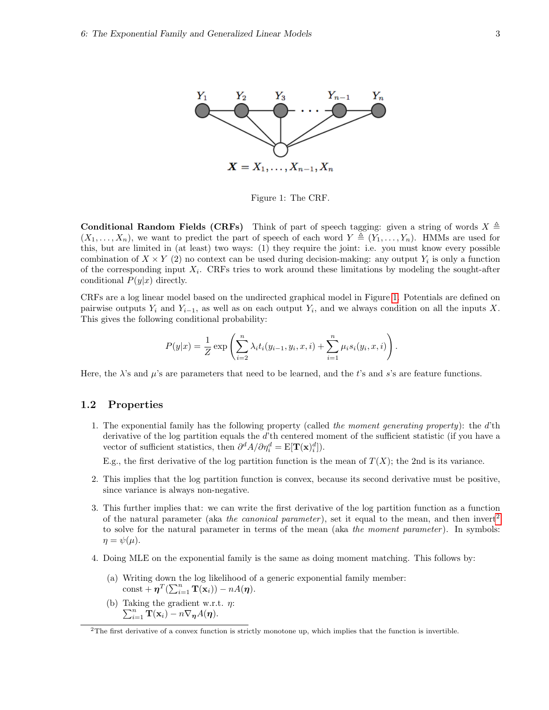



<span id="page-2-0"></span>Figure 1: The CRF.

**Conditional Random Fields (CRFs)** Think of part of speech tagging: given a string of words  $X \triangleq$  $(X_1, \ldots, X_n)$ , we want to predict the part of speech of each word  $Y \triangleq (Y_1, \ldots, Y_n)$ . HMMs are used for this, but are limited in (at least) two ways: (1) they require the joint: i.e. you must know every possible combination of  $X \times Y$  (2) no context can be used during decision-making: any output  $Y_i$  is only a function of the corresponding input  $X_i$ . CRFs tries to work around these limitations by modeling the sought-after conditional  $P(y|x)$  directly.

CRFs are a log linear model based on the undirected graphical model in Figure [1.](#page-2-0) Potentials are defined on pairwise outputs  $Y_i$  and  $Y_{i-1}$ , as well as on each output  $Y_i$ , and we always condition on all the inputs X. This gives the following conditional probability:

$$
P(y|x) = \frac{1}{Z} \exp \left( \sum_{i=2}^{n} \lambda_i t_i(y_{i-1}, y_i, x, i) + \sum_{i=1}^{n} \mu_i s_i(y_i, x, i) \right).
$$

Here, the  $\lambda$ 's and  $\mu$ 's are parameters that need to be learned, and the t's and s's are feature functions.

#### 1.2 Properties

1. The exponential family has the following property (called the moment generating property): the  $d'$ th derivative of the log partition equals the d'th centered moment of the sufficient statistic (if you have a vector of sufficient statistics, then  $\partial^d A/\partial \eta_i^d = \mathbf{E}[\mathbf{T}(\mathbf{x})_i^d]$ .

E.g., the first derivative of the log partition function is the mean of  $T(X)$ ; the 2nd is its variance.

- 2. This implies that the log partition function is convex, because its second derivative must be positive, since variance is always non-negative.
- 3. This further implies that: we can write the first derivative of the log partition function as a function of the natural parameter (aka the canonical parameter), set it equal to the mean, and then invert<sup>[2](#page-2-1)</sup> to solve for the natural parameter in terms of the mean (aka the moment parameter). In symbols:  $\eta = \psi(\mu).$
- 4. Doing MLE on the exponential family is the same as doing moment matching. This follows by:
	- (a) Writing down the log likelihood of a generic exponential family member: const +  $\boldsymbol{\eta}^T(\sum_{i=1}^n \mathbf{T}(\mathbf{x}_i)) - nA(\boldsymbol{\eta}).$
	- (b) Taking the gradient w.r.t.  $\eta$ :  $\sum_{i=1}^n \mathbf{T}(\mathbf{x}_i) - n \nabla_{\boldsymbol{\eta}} A(\boldsymbol{\eta}).$

<span id="page-2-1"></span><sup>2</sup>The first derivative of a convex function is strictly monotone up, which implies that the function is invertible.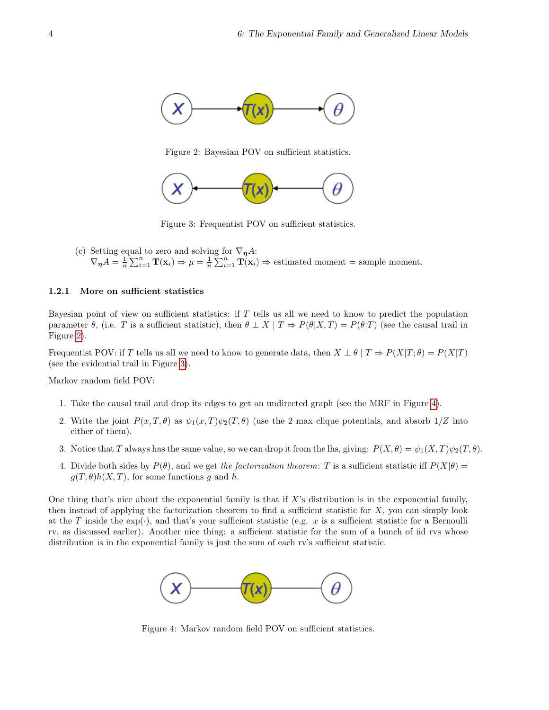

<span id="page-3-0"></span>Figure 2: Bayesian POV on sufficient statistics.



<span id="page-3-1"></span>Figure 3: Frequentist POV on sufficient statistics.

(c) Setting equal to zero and solving for  $\nabla_{\eta}A$ :  $\nabla_{\eta} A = \frac{1}{n} \sum_{i=1}^{n} \mathbf{T}(\mathbf{x}_i) \Rightarrow \mu = \frac{1}{n} \sum_{i=1}^{n} \mathbf{T}(\mathbf{x}_i) \Rightarrow$  estimated moment = sample moment.

#### 1.2.1 More on sufficient statistics

Bayesian point of view on sufficient statistics: if  $T$  tells us all we need to know to predict the population parameter  $\theta$ , (i.e. T is a sufficient statistic), then  $\theta \perp X | T \Rightarrow P(\theta|X,T) = P(\theta|T)$  (see the causal trail in Figure [2\)](#page-3-0).

Frequentist POV: if T tells us all we need to know to generate data, then  $X \perp \theta | T \Rightarrow P(X|T; \theta) = P(X|T)$ (see the evidential trail in Figure [3\)](#page-3-1).

Markov random field POV:

- 1. Take the causal trail and drop its edges to get an undirected graph (see the MRF in Figure [4\)](#page-3-2).
- 2. Write the joint  $P(x,T,\theta)$  as  $\psi_1(x,T)\psi_2(T,\theta)$  (use the 2 max clique potentials, and absorb  $1/Z$  into either of them).
- 3. Notice that T always has the same value, so we can drop it from the lhs, giving:  $P(X, \theta) = \psi_1(X, T)\psi_2(T, \theta)$ .
- 4. Divide both sides by  $P(\theta)$ , and we get the factorization theorem: T is a sufficient statistic iff  $P(X|\theta)$  =  $g(T, \theta)h(X, T)$ , for some functions g and h.

One thing that's nice about the exponential family is that if X's distribution is in the exponential family, then instead of applying the factorization theorem to find a sufficient statistic for  $X$ , you can simply look at the T inside the  $\exp(\cdot)$ , and that's your sufficient statistic (e.g. x is a sufficient statistic for a Bernoulli rv, as discussed earlier). Another nice thing: a sufficient statistic for the sum of a bunch of iid rvs whose distribution is in the exponential family is just the sum of each rv's sufficient statistic.



<span id="page-3-2"></span>Figure 4: Markov random field POV on sufficient statistics.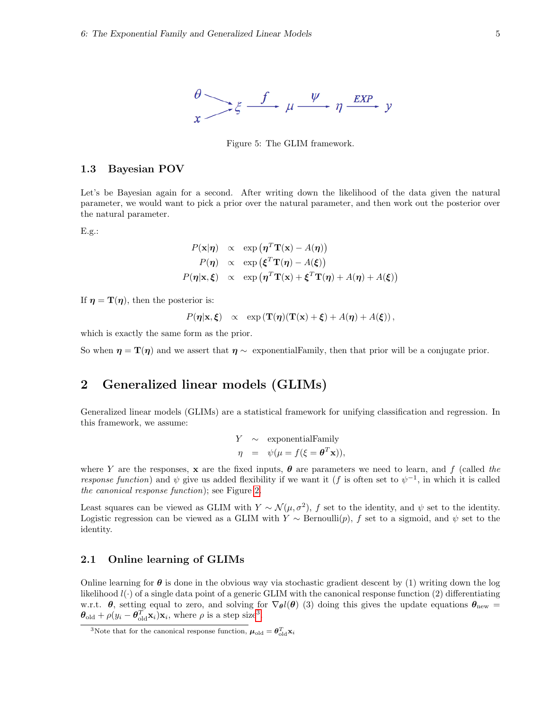

Figure 5: The GLIM framework.

#### 1.3 Bayesian POV

Let's be Bayesian again for a second. After writing down the likelihood of the data given the natural parameter, we would want to pick a prior over the natural parameter, and then work out the posterior over the natural parameter.

E.g.:

$$
P(\mathbf{x}|\boldsymbol{\eta}) \propto \exp(\boldsymbol{\eta}^T \mathbf{T}(\mathbf{x}) - A(\boldsymbol{\eta}))
$$
  
\n
$$
P(\boldsymbol{\eta}) \propto \exp(\boldsymbol{\xi}^T \mathbf{T}(\boldsymbol{\eta}) - A(\boldsymbol{\xi}))
$$
  
\n
$$
P(\boldsymbol{\eta}|\mathbf{x}, \boldsymbol{\xi}) \propto \exp(\boldsymbol{\eta}^T \mathbf{T}(\mathbf{x}) + \boldsymbol{\xi}^T \mathbf{T}(\boldsymbol{\eta}) + A(\boldsymbol{\eta}) + A(\boldsymbol{\xi}))
$$

If  $\eta = \mathbf{T}(\eta)$ , then the posterior is:

$$
P(\eta|\mathbf{x}, \boldsymbol{\xi}) \propto \exp(\mathbf{T}(\eta)(\mathbf{T}(\mathbf{x}) + \boldsymbol{\xi}) + A(\eta) + A(\boldsymbol{\xi})),
$$

which is exactly the same form as the prior.

So when  $\eta = \mathbf{T}(\eta)$  and we assert that  $\eta \sim$  exponential Family, then that prior will be a conjugate prior.

## <span id="page-4-0"></span>2 Generalized linear models (GLIMs)

Generalized linear models (GLIMs) are a statistical framework for unifying classification and regression. In this framework, we assume:

$$
Y \sim
$$
 exponential  
Family  
 $\eta = \psi(\mu = f(\xi = \mathbf{\theta}^T \mathbf{x})),$ 

where Y are the responses, x are the fixed inputs,  $\theta$  are parameters we need to learn, and f (called the response function) and  $\psi$  give us added flexibility if we want it (f is often set to  $\psi^{-1}$ , in which it is called the canonical response function); see Figure [2.](#page-4-0)

Least squares can be viewed as GLIM with  $Y \sim \mathcal{N}(\mu, \sigma^2)$ , f set to the identity, and  $\psi$  set to the identity. Logistic regression can be viewed as a GLIM with  $Y \sim \text{Bernoulli}(p)$ , f set to a sigmoid, and  $\psi$  set to the identity.

### 2.1 Online learning of GLIMs

Online learning for  $\theta$  is done in the obvious way via stochastic gradient descent by (1) writing down the log likelihood  $l(\cdot)$  of a single data point of a generic GLIM with the canonical response function (2) differentiating w.r.t.  $\theta$ , setting equal to zero, and solving for  $\nabla_{\theta}l(\theta)$  (3) doing this gives the update equations  $\theta_{\text{new}} =$  $\boldsymbol{\theta}_{old} + \rho(y_i - \boldsymbol{\theta}_{old}^T \mathbf{x}_i) \mathbf{x}_i$ , where  $\rho$  is a step size<sup>[3](#page-4-1)</sup>.

<span id="page-4-1"></span><sup>&</sup>lt;sup>3</sup>Note that for the canonical response function,  $\boldsymbol{\mu}_{old} = \boldsymbol{\theta}_{old}^T \mathbf{x}_i$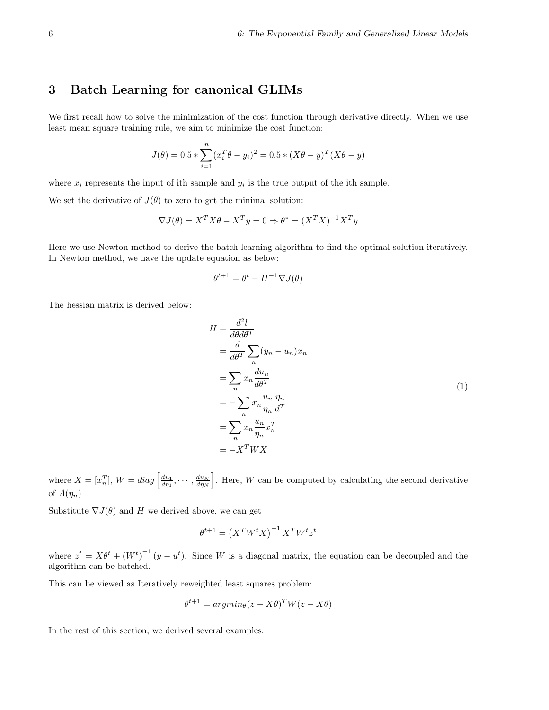## 3 Batch Learning for canonical GLIMs

We first recall how to solve the minimization of the cost function through derivative directly. When we use least mean square training rule, we aim to minimize the cost function:

$$
J(\theta) = 0.5 * \sum_{i=1}^{n} (x_i^T \theta - y_i)^2 = 0.5 * (X\theta - y)^T (X\theta - y)
$$

where  $x_i$  represents the input of ith sample and  $y_i$  is the true output of the ith sample.

We set the derivative of  $J(\theta)$  to zero to get the minimal solution:

$$
\nabla J(\theta) = X^T X \theta - X^T y = 0 \Rightarrow \theta^* = (X^T X)^{-1} X^T y
$$

Here we use Newton method to derive the batch learning algorithm to find the optimal solution iteratively. In Newton method, we have the update equation as below:

$$
\theta^{t+1} = \theta^t - H^{-1} \nabla J(\theta)
$$

The hessian matrix is derived below:

$$
H = \frac{d^2l}{d\theta d\theta^T}
$$
  
=  $\frac{d}{d\theta^T} \sum_n (y_n - u_n)x_n$   
=  $\sum_n x_n \frac{du_n}{d\theta^T}$   
=  $-\sum_n x_n \frac{u_n}{\eta_n} \frac{\eta_n}{d\theta^T}$   
=  $\sum_n x_n \frac{u_n}{\eta_n} x_n^T$   
=  $-X^T W X$  (1)

where  $X = [x_n^T]$ ,  $W = diag\left[\frac{du_1}{d\eta_1}, \cdots, \frac{du_N}{d\eta_N}\right]$ . Here, W can be computed by calculating the second derivative of  $A(\eta_n)$ 

Substitute  $\nabla J(\theta)$  and H we derived above, we can get

$$
\theta^{t+1} = \left(X^T W^t X\right)^{-1} X^T W^t z^t
$$

where  $z^t = X\theta^t + (W^t)^{-1} (y - u^t)$ . Since W is a diagonal matrix, the equation can be decoupled and the algorithm can be batched.

This can be viewed as Iteratively reweighted least squares problem:

$$
\theta^{t+1} = argmin_{\theta} (z - X\theta)^T W(z - X\theta)
$$

In the rest of this section, we derived several examples.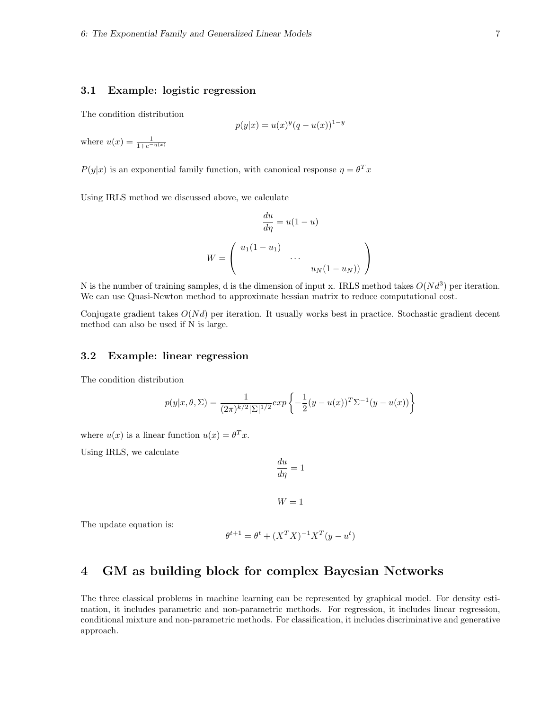### 3.1 Example: logistic regression

The condition distribution

$$
p(y|x) = u(x)^{y}(q - u(x))^{1-y}
$$

where  $u(x) = \frac{1}{1 + e^{-\eta(x)}}$ 

 $P(y|x)$  is an exponential family function, with canonical response  $\eta = \theta^T x$ 

Using IRLS method we discussed above, we calculate

$$
\frac{du}{d\eta} = u(1 - u)
$$

$$
W = \begin{pmatrix} u_1(1 - u_1) & & \\ & \cdots & \\ & & u_N(1 - u_N) \end{pmatrix}
$$

du

N is the number of training samples, d is the dimension of input x. IRLS method takes  $O(N d^3)$  per iteration. We can use Quasi-Newton method to approximate hessian matrix to reduce computational cost.

Conjugate gradient takes  $O(Nd)$  per iteration. It usually works best in practice. Stochastic gradient decent method can also be used if N is large.

### 3.2 Example: linear regression

The condition distribution

$$
p(y|x, \theta, \Sigma) = \frac{1}{(2\pi)^{k/2} |\Sigma|^{1/2}} exp \left\{-\frac{1}{2}(y - u(x))^T \Sigma^{-1} (y - u(x))\right\}
$$

where  $u(x)$  is a linear function  $u(x) = \theta^T x$ .

Using IRLS, we calculate

$$
\frac{du}{d\eta}=1
$$

 $W = 1$ 

The update equation is:

$$
\theta^{t+1} = \theta^t + (X^T X)^{-1} X^T (y - u^t)
$$

## 4 GM as building block for complex Bayesian Networks

The three classical problems in machine learning can be represented by graphical model. For density estimation, it includes parametric and non-parametric methods. For regression, it includes linear regression, conditional mixture and non-parametric methods. For classification, it includes discriminative and generative approach.